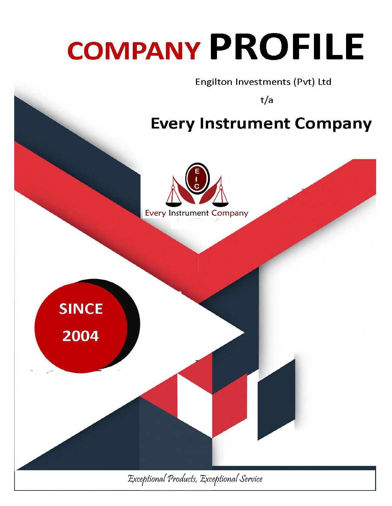# **COMPANY PROFILE**

Engilton Investments (Pvt) Ltd

 $t/a$ 

# **Every Instrument Company**

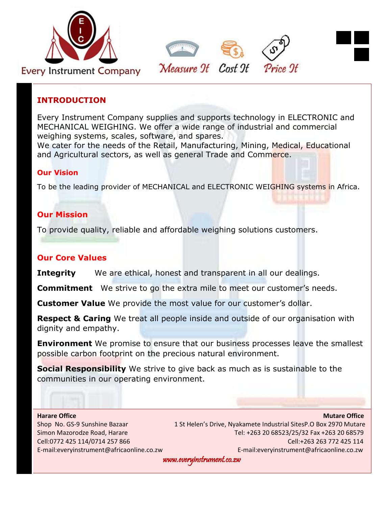



### **INTRODUCTION**

Every Instrument Company supplies and supports technology in ELECTRONIC and MECHANICAL WEIGHING. We offer a wide range of industrial and commercial weighing systems, scales, software, and spares.

We cater for the needs of the Retail, Manufacturing, Mining, Medical, Educational and Agricultural sectors, as well as general Trade and Commerce.

### **Our Vision**

To be the leading provider of MECHANICAL and ELECTRONIC WEIGHING systems in Africa.

### **Our Mission**

To provide quality, reliable and affordable weighing solutions customers.

### **Our Core Values**

**Integrity** We are ethical, honest and transparent in all our dealings.

**Commitment** We strive to go the extra mile to meet our customer's needs.

**Customer Value** We provide the most value for our customer's dollar.

**Respect & Caring** We treat all people inside and outside of our organisation with dignity and empathy.

**Environment** We promise to ensure that our business processes leave the smallest possible carbon footprint on the precious natural environment.

**Social Responsibility** We strive to give back as much as is sustainable to the communities in our operating environment.

**Harare Office Mutare Office According to the Contract of the Contract of the Contract of the Mutare Office** Shop No. GS-9 Sunshine Bazaar 1 St Helen's Drive, Nyakamete Industrial SitesP.O Box 2970 Mutare Simon Mazorodze Road, Harare Tel: +263 20 68523/25/32 Fax +263 20 68579 Cell:0772 425 114/0714 257 866 Cell:+263 263 772 425 114 E-mail:everyinstrument@africaonline.co.zw E-mail:everyinstrument@africaonline.co.zw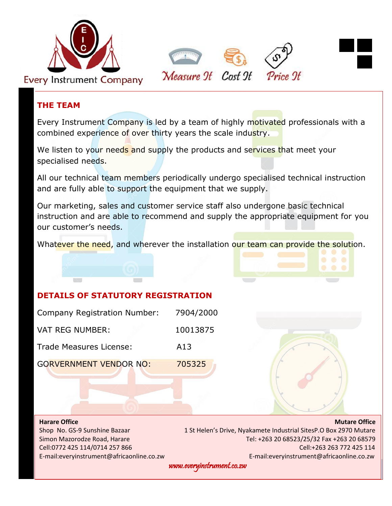



### **THE TEAM**

Every Instrument Company is led by a team of highly motivated professionals with a combined experience of over thirty years the scale industry.

We listen to your needs and supply the products and services that meet your specialised needs.

All our technical team members periodically undergo specialised technical instruction and are fully able to support the equipment that we supply.

Our marketing, sales and customer service staff also undergone basic technical instruction and are able to recommend and supply the appropriate equipment for you our customer's needs.

Whatever the need, and wherever the installation our team can provide the solution.

# **DETAILS OF STATUTORY REGISTRATION**

| Company Registration Number:  | 7904/2000 |
|-------------------------------|-----------|
| <b>VAT REG NUMBER:</b>        | 10013875  |
| Trade Measures License:       | A13       |
| <b>GORVERNMENT VENDOR NO:</b> | 705325    |



**Harare Office Mutare Office According to the Contract of Contract Contract of Contract Contract Contract Office** Shop No. GS-9 Sunshine Bazaar 1 St Helen's Drive, Nyakamete Industrial SitesP.O Box 2970 Mutare Simon Mazorodze Road, Harare Tel: +263 20 68523/25/32 Fax +263 20 68579 Cell:0772 425 114/0714 257 866 Cell:+263 263 772 425 114 E-mail:everyinstrument@africaonline.co.zw E-mail:everyinstrument@africaonline.co.zw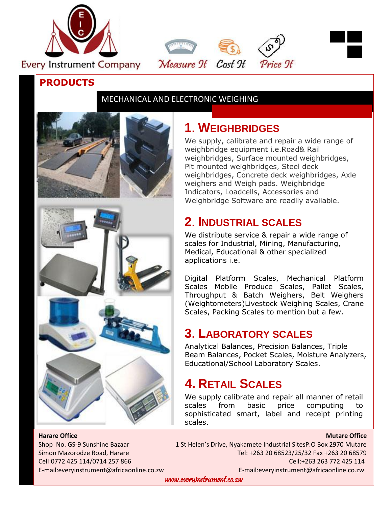



# MECHANICAL AND ELECTRONIC WEIGHING

Measure 9t Cost 9t



# **1. WEIGHBRIDGES**

We supply, calibrate and repair a wide range of weighbridge equipment i.e.Road& Rail weighbridges, Surface mounted weighbridges, Pit mounted weighbridges, Steel deck weighbridges, Concrete deck weighbridges, Axle weighers and Weigh pads. Weighbridge Indicators, Loadcells, Accessories and Weighbridge Software are readily available.

Price 9t

# **2. INDUSTRIAL SCALES**

We distribute service & repair a wide range of scales for Industrial, Mining, Manufacturing, Medical, Educational & other specialized applications i.e.

Digital Platform Scales, Mechanical Platform Scales Mobile Produce Scales, Pallet Scales, Throughput & Batch Weighers, Belt Weighers (Weightometers)Livestock Weighing Scales, Crane Scales, Packing Scales to mention but a few.

# **3. LABORATORY SCALES**

Analytical Balances, Precision Balances, Triple Beam Balances, Pocket Scales, Moisture Analyzers, Educational/School Laboratory Scales.

# **4. RETAIL SCALES**

We supply calibrate and repair all manner of retail scales from basic price computing to sophisticated smart, label and receipt printing scales.

**Harare Office Mutare Office According to the Contract of the Contract of the Contract of the Mutare Office** 

Shop No. GS-9 Sunshine Bazaar 1 St Helen's Drive, Nyakamete Industrial SitesP.O Box 2970 Mutare Simon Mazorodze Road, Harare Tel: +263 20 68523/25/32 Fax +263 20 68579 Cell:0772 425 114/0714 257 866 Cell:+263 263 772 425 114 E-mail:everyinstrument@africaonline.co.zw E-mail:everyinstrument@africaonline.co.zw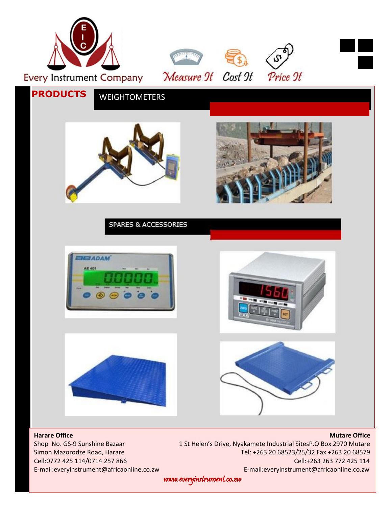

Shop No. GS-9 Sunshine Bazaar 1 St Helen's Drive, Nyakamete Industrial SitesP.O Box 2970 Mutare Simon Mazorodze Road, Harare Tel: +263 20 68523/25/32 Fax +263 20 68579 Cell:0772 425 114/0714 257 866 Cell:+263 263 772 425 114 E-mail:everyinstrument@africaonline.co.zw E-mail:everyinstrument@africaonline.co.zw